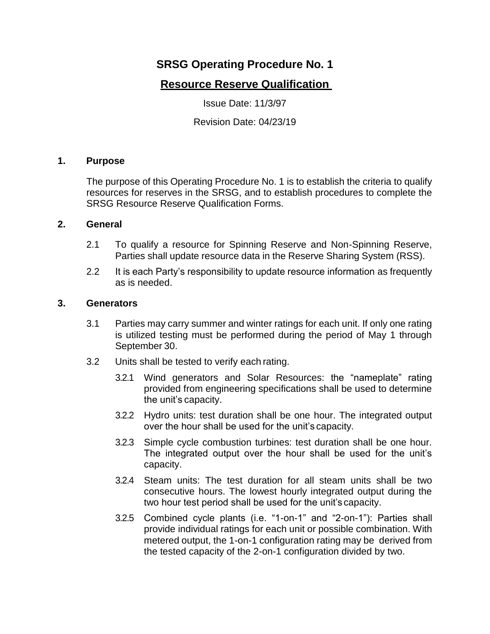# **SRSG Operating Procedure No. 1**

## **Resource Reserve Qualification**

Issue Date: 11/3/97

Revision Date: 04/23/19

## **1. Purpose**

The purpose of this Operating Procedure No. 1 is to establish the criteria to qualify resources for reserves in the SRSG, and to establish procedures to complete the SRSG Resource Reserve Qualification Forms.

#### **2. General**

- 2.1 To qualify a resource for Spinning Reserve and Non-Spinning Reserve, Parties shall update resource data in the Reserve Sharing System (RSS).
- 2.2 It is each Party's responsibility to update resource information as frequently as is needed.

#### **3. Generators**

- 3.1 Parties may carry summer and winter ratings for each unit. If only one rating is utilized testing must be performed during the period of May 1 through September 30.
- 3.2 Units shall be tested to verify each rating.
	- 3.2.1 Wind generators and Solar Resources: the "nameplate" rating provided from engineering specifications shall be used to determine the unit's capacity.
	- 3.2.2 Hydro units: test duration shall be one hour. The integrated output over the hour shall be used for the unit's capacity.
	- 3.2.3 Simple cycle combustion turbines: test duration shall be one hour. The integrated output over the hour shall be used for the unit's capacity.
	- 3.2.4 Steam units: The test duration for all steam units shall be two consecutive hours. The lowest hourly integrated output during the two hour test period shall be used for the unit's capacity.
	- 3.2.5 Combined cycle plants (i.e. "1-on-1" and "2-on-1"): Parties shall provide individual ratings for each unit or possible combination. With metered output, the 1-on-1 configuration rating may be derived from the tested capacity of the 2-on-1 configuration divided by two.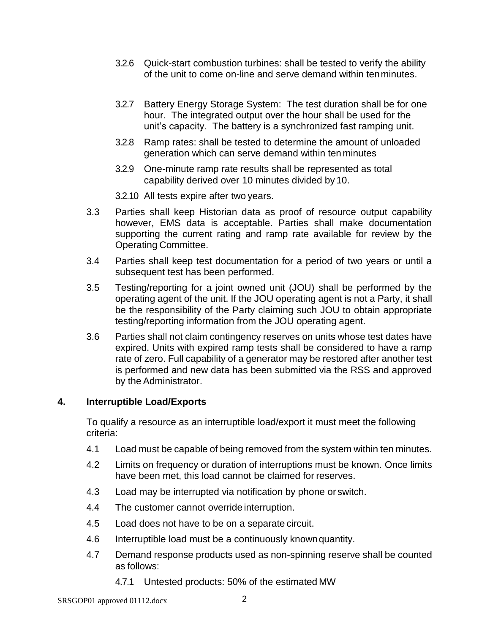- 3.2.6 Quick-start combustion turbines: shall be tested to verify the ability of the unit to come on-line and serve demand within tenminutes.
- 3.2.7 Battery Energy Storage System: The test duration shall be for one hour. The integrated output over the hour shall be used for the unit's capacity. The battery is a synchronized fast ramping unit.
- 3.2.8 Ramp rates: shall be tested to determine the amount of unloaded generation which can serve demand within ten minutes
- 3.2.9 One-minute ramp rate results shall be represented as total capability derived over 10 minutes divided by 10.

3.2.10 All tests expire after two years.

- 3.3 Parties shall keep Historian data as proof of resource output capability however, EMS data is acceptable. Parties shall make documentation supporting the current rating and ramp rate available for review by the Operating Committee.
- 3.4 Parties shall keep test documentation for a period of two years or until a subsequent test has been performed.
- 3.5 Testing/reporting for a joint owned unit (JOU) shall be performed by the operating agent of the unit. If the JOU operating agent is not a Party, it shall be the responsibility of the Party claiming such JOU to obtain appropriate testing/reporting information from the JOU operating agent.
- 3.6 Parties shall not claim contingency reserves on units whose test dates have expired. Units with expired ramp tests shall be considered to have a ramp rate of zero. Full capability of a generator may be restored after another test is performed and new data has been submitted via the RSS and approved by the Administrator.

## **4. Interruptible Load/Exports**

To qualify a resource as an interruptible load/export it must meet the following criteria:

- 4.1 Load must be capable of being removed from the system within ten minutes.
- 4.2 Limits on frequency or duration of interruptions must be known. Once limits have been met, this load cannot be claimed for reserves.
- 4.3 Load may be interrupted via notification by phone or switch.
- 4.4 The customer cannot override interruption.
- 4.5 Load does not have to be on a separate circuit.
- 4.6 Interruptible load must be a continuously knownquantity.
- 4.7 Demand response products used as non-spinning reserve shall be counted as follows:
	- 4.7.1 Untested products: 50% of the estimated MW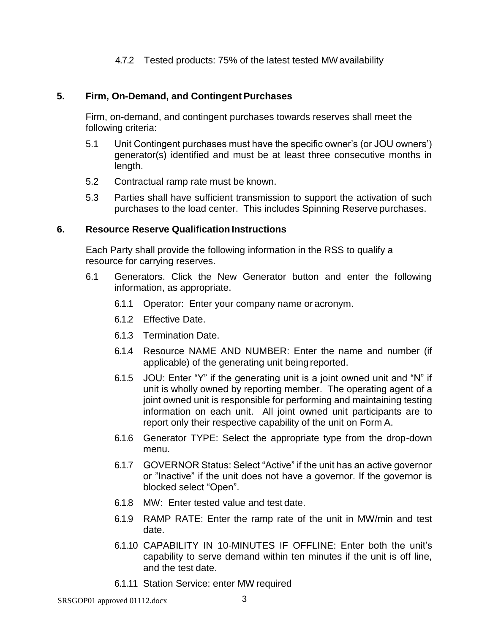### 4.7.2 Tested products: 75% of the latest tested MWavailability

#### **5. Firm, On-Demand, and Contingent Purchases**

Firm, on-demand, and contingent purchases towards reserves shall meet the following criteria:

- 5.1 Unit Contingent purchases must have the specific owner's (or JOU owners') generator(s) identified and must be at least three consecutive months in length.
- 5.2 Contractual ramp rate must be known.
- 5.3 Parties shall have sufficient transmission to support the activation of such purchases to the load center. This includes Spinning Reserve purchases.

#### **6.** Resource Reserve Qualification Instructions

Each Party shall provide the following information in the RSS to qualify a resource for carrying reserves.

- 6.1 Generators. Click the New Generator button and enter the following information, as appropriate.
	- 6.1.1 Operator: Enter your company name or acronym.
	- 6.1.2 Effective Date.
	- 6.1.3 Termination Date.
	- 6.1.4 Resource NAME AND NUMBER: Enter the name and number (if applicable) of the generating unit being reported.
	- 6.1.5 JOU: Enter "Y" if the generating unit is a joint owned unit and "N" if unit is wholly owned by reporting member. The operating agent of a joint owned unit is responsible for performing and maintaining testing information on each unit. All joint owned unit participants are to report only their respective capability of the unit on Form A.
	- 6.1.6 Generator TYPE: Select the appropriate type from the drop-down menu.
	- 6.1.7 GOVERNOR Status: Select "Active" if the unit has an active governor or "Inactive" if the unit does not have a governor. If the governor is blocked select "Open".
	- 6.1.8 MW: Enter tested value and test date.
	- 6.1.9 RAMP RATE: Enter the ramp rate of the unit in MW/min and test date.
	- 6.1.10 CAPABILITY IN 10-MINUTES IF OFFLINE: Enter both the unit's capability to serve demand within ten minutes if the unit is off line, and the test date.
	- 6.1.11 Station Service: enter MW required